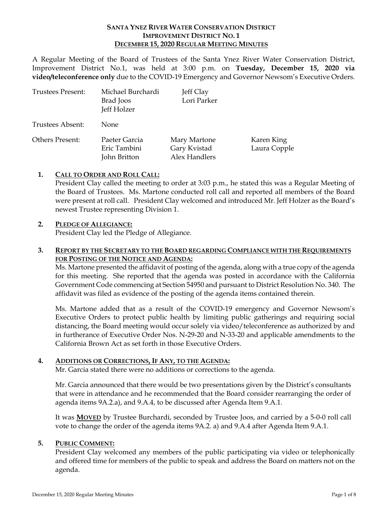### **SANTA YNEZ RIVER WATER CONSERVATION DISTRICT IMPROVEMENT DISTRICT NO. 1 DECEMBER 15, 2020 REGULAR MEETING MINUTES**

A Regular Meeting of the Board of Trustees of the Santa Ynez River Water Conservation District, Improvement District No.1, was held at 3:00 p.m. on **Tuesday, December 15, 2020 via video/teleconference only** due to the COVID-19 Emergency and Governor Newsom's Executive Orders.

| Trustees Present: | Michael Burchardi<br>Brad Joos<br>Jeff Holzer | Jeff Clay<br>Lori Parker                      |                            |
|-------------------|-----------------------------------------------|-----------------------------------------------|----------------------------|
| Trustees Absent:  | None.                                         |                                               |                            |
| Others Present:   | Paeter Garcia<br>Eric Tambini<br>John Britton | Mary Martone<br>Gary Kvistad<br>Alex Handlers | Karen King<br>Laura Copple |

# **1. CALL TO ORDER AND ROLL CALL:**

President Clay called the meeting to order at 3:03 p.m., he stated this was a Regular Meeting of the Board of Trustees. Ms. Martone conducted roll call and reported all members of the Board were present at roll call. President Clay welcomed and introduced Mr. Jeff Holzer as the Board's newest Trustee representing Division 1.

### **2. PLEDGE OF ALLEGIANCE:**

President Clay led the Pledge of Allegiance.

# **3. REPORT BY THE SECRETARY TO THE BOARD REGARDING COMPLIANCE WITH THE REQUIREMENTS FOR POSTING OF THE NOTICE AND AGENDA:**

Ms. Martone presented the affidavit of posting of the agenda, along with a true copy of the agenda for this meeting. She reported that the agenda was posted in accordance with the California Government Code commencing at Section 54950 and pursuant to District Resolution No. 340. The affidavit was filed as evidence of the posting of the agenda items contained therein.

Ms. Martone added that as a result of the COVID-19 emergency and Governor Newsom's Executive Orders to protect public health by limiting public gatherings and requiring social distancing, the Board meeting would occur solely via video/teleconference as authorized by and in furtherance of Executive Order Nos. N-29-20 and N-33-20 and applicable amendments to the California Brown Act as set forth in those Executive Orders.

# **4. ADDITIONS OR CORRECTIONS, IF ANY, TO THE AGENDA:**

Mr. Garcia stated there were no additions or corrections to the agenda.

Mr. Garcia announced that there would be two presentations given by the District's consultants that were in attendance and he recommended that the Board consider rearranging the order of agenda items 9A.2.a), and 9.A.4, to be discussed after Agenda Item 9.A.1.

It was **MOVED** by Trustee Burchardi, seconded by Trustee Joos, and carried by a 5-0-0 roll call vote to change the order of the agenda items 9A.2. a) and 9.A.4 after Agenda Item 9.A.1.

# **5. PUBLIC COMMENT:**

President Clay welcomed any members of the public participating via video or telephonically and offered time for members of the public to speak and address the Board on matters not on the agenda.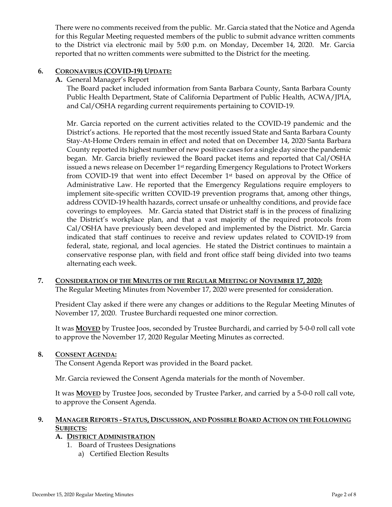There were no comments received from the public. Mr. Garcia stated that the Notice and Agenda for this Regular Meeting requested members of the public to submit advance written comments to the District via electronic mail by 5:00 p.m. on Monday, December 14, 2020. Mr. Garcia reported that no written comments were submitted to the District for the meeting.

# **6. CORONAVIRUS (COVID-19) UPDATE:**

**A.** General Manager's Report

The Board packet included information from Santa Barbara County, Santa Barbara County Public Health Department, State of California Department of Public Health, ACWA/JPIA, and Cal/OSHA regarding current requirements pertaining to COVID-19.

Mr. Garcia reported on the current activities related to the COVID-19 pandemic and the District's actions. He reported that the most recently issued State and Santa Barbara County Stay-At-Home Orders remain in effect and noted that on December 14, 2020 Santa Barbara County reported its highest number of new positive cases for a single day since the pandemic began. Mr. Garcia briefly reviewed the Board packet items and reported that Cal/OSHA issued a news release on December 1st regarding Emergency Regulations to Protect Workers from COVID-19 that went into effect December 1st based on approval by the Office of Administrative Law. He reported that the Emergency Regulations require employers to implement site-specific written COVID-19 prevention programs that, among other things, address COVID-19 health hazards, correct unsafe or unhealthy conditions, and provide face coverings to employees. Mr. Garcia stated that District staff is in the process of finalizing the District's workplace plan, and that a vast majority of the required protocols from Cal/OSHA have previously been developed and implemented by the District. Mr. Garcia indicated that staff continues to receive and review updates related to COVID-19 from federal, state, regional, and local agencies. He stated the District continues to maintain a conservative response plan, with field and front office staff being divided into two teams alternating each week.

**7. CONSIDERATION OF THE MINUTES OF THE REGULAR MEETING OF NOVEMBER 17, 2020:**  The Regular Meeting Minutes from November 17, 2020 were presented for consideration.

President Clay asked if there were any changes or additions to the Regular Meeting Minutes of November 17, 2020. Trustee Burchardi requested one minor correction.

It was **MOVED** by Trustee Joos, seconded by Trustee Burchardi, and carried by 5-0-0 roll call vote to approve the November 17, 2020 Regular Meeting Minutes as corrected.

# **8. CONSENT AGENDA:**

The Consent Agenda Report was provided in the Board packet.

Mr. Garcia reviewed the Consent Agenda materials for the month of November.

It was **MOVED** by Trustee Joos, seconded by Trustee Parker, and carried by a 5-0-0 roll call vote, to approve the Consent Agenda.

# **9. MANAGER REPORTS - STATUS, DISCUSSION, AND POSSIBLE BOARD ACTION ON THE FOLLOWING SUBJECTS:**

# **A. DISTRICT ADMINISTRATION**

- 1. Board of Trustees Designations
	- a) Certified Election Results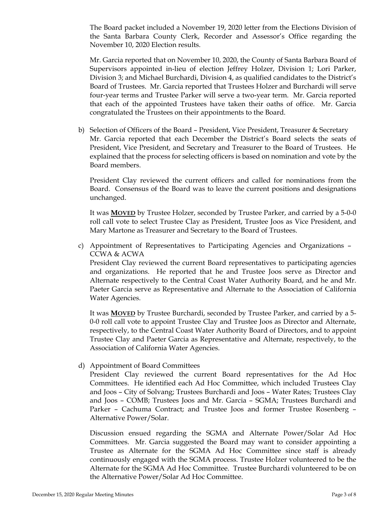The Board packet included a November 19, 2020 letter from the Elections Division of the Santa Barbara County Clerk, Recorder and Assessor's Office regarding the November 10, 2020 Election results.

Mr. Garcia reported that on November 10, 2020, the County of Santa Barbara Board of Supervisors appointed in-lieu of election Jeffrey Holzer, Division 1; Lori Parker, Division 3; and Michael Burchardi, Division 4, as qualified candidates to the District's Board of Trustees. Mr. Garcia reported that Trustees Holzer and Burchardi will serve four-year terms and Trustee Parker will serve a two-year term. Mr. Garcia reported that each of the appointed Trustees have taken their oaths of office. Mr. Garcia congratulated the Trustees on their appointments to the Board.

b) Selection of Officers of the Board – President, Vice President, Treasurer & Secretary Mr. Garcia reported that each December the District's Board selects the seats of President, Vice President, and Secretary and Treasurer to the Board of Trustees. He explained that the process for selecting officers is based on nomination and vote by the Board members.

President Clay reviewed the current officers and called for nominations from the Board. Consensus of the Board was to leave the current positions and designations unchanged.

It was **MOVED** by Trustee Holzer, seconded by Trustee Parker, and carried by a 5-0-0 roll call vote to select Trustee Clay as President, Trustee Joos as Vice President, and Mary Martone as Treasurer and Secretary to the Board of Trustees.

c) Appointment of Representatives to Participating Agencies and Organizations – CCWA & ACWA

President Clay reviewed the current Board representatives to participating agencies and organizations. He reported that he and Trustee Joos serve as Director and Alternate respectively to the Central Coast Water Authority Board, and he and Mr. Paeter Garcia serve as Representative and Alternate to the Association of California Water Agencies.

It was **MOVED** by Trustee Burchardi, seconded by Trustee Parker, and carried by a 5- 0-0 roll call vote to appoint Trustee Clay and Trustee Joos as Director and Alternate, respectively, to the Central Coast Water Authority Board of Directors, and to appoint Trustee Clay and Paeter Garcia as Representative and Alternate, respectively, to the Association of California Water Agencies.

d) Appointment of Board Committees

President Clay reviewed the current Board representatives for the Ad Hoc Committees. He identified each Ad Hoc Committee, which included Trustees Clay and Joos – City of Solvang; Trustees Burchardi and Joos – Water Rates; Trustees Clay and Joos – COMB; Trustees Joos and Mr. Garcia – SGMA; Trustees Burchardi and Parker – Cachuma Contract; and Trustee Joos and former Trustee Rosenberg – Alternative Power/Solar.

Discussion ensued regarding the SGMA and Alternate Power/Solar Ad Hoc Committees. Mr. Garcia suggested the Board may want to consider appointing a Trustee as Alternate for the SGMA Ad Hoc Committee since staff is already continuously engaged with the SGMA process. Trustee Holzer volunteered to be the Alternate for the SGMA Ad Hoc Committee. Trustee Burchardi volunteered to be on the Alternative Power/Solar Ad Hoc Committee.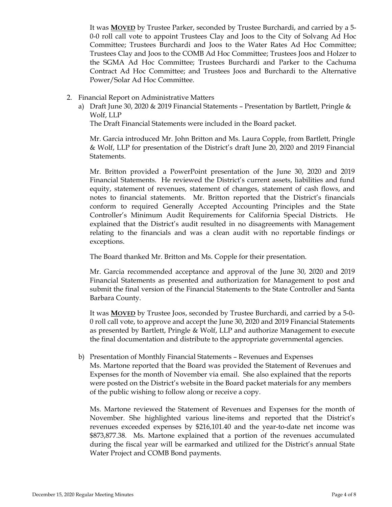It was **MOVED** by Trustee Parker, seconded by Trustee Burchardi, and carried by a 5- 0-0 roll call vote to appoint Trustees Clay and Joos to the City of Solvang Ad Hoc Committee; Trustees Burchardi and Joos to the Water Rates Ad Hoc Committee; Trustees Clay and Joos to the COMB Ad Hoc Committee; Trustees Joos and Holzer to the SGMA Ad Hoc Committee; Trustees Burchardi and Parker to the Cachuma Contract Ad Hoc Committee; and Trustees Joos and Burchardi to the Alternative Power/Solar Ad Hoc Committee.

- 2. Financial Report on Administrative Matters
	- a) Draft June 30, 2020 & 2019 Financial Statements Presentation by Bartlett, Pringle & Wolf, LLP

The Draft Financial Statements were included in the Board packet.

Mr. Garcia introduced Mr. John Britton and Ms. Laura Copple, from Bartlett, Pringle & Wolf, LLP for presentation of the District's draft June 20, 2020 and 2019 Financial Statements.

Mr. Britton provided a PowerPoint presentation of the June 30, 2020 and 2019 Financial Statements. He reviewed the District's current assets, liabilities and fund equity, statement of revenues, statement of changes, statement of cash flows, and notes to financial statements. Mr. Britton reported that the District's financials conform to required Generally Accepted Accounting Principles and the State Controller's Minimum Audit Requirements for California Special Districts. He explained that the District's audit resulted in no disagreements with Management relating to the financials and was a clean audit with no reportable findings or exceptions.

The Board thanked Mr. Britton and Ms. Copple for their presentation.

Mr. Garcia recommended acceptance and approval of the June 30, 2020 and 2019 Financial Statements as presented and authorization for Management to post and submit the final version of the Financial Statements to the State Controller and Santa Barbara County.

It was **MOVED** by Trustee Joos, seconded by Trustee Burchardi, and carried by a 5-0- 0 roll call vote, to approve and accept the June 30, 2020 and 2019 Financial Statements as presented by Bartlett, Pringle & Wolf, LLP and authorize Management to execute the final documentation and distribute to the appropriate governmental agencies.

b) Presentation of Monthly Financial Statements – Revenues and Expenses Ms. Martone reported that the Board was provided the Statement of Revenues and Expenses for the month of November via email. She also explained that the reports were posted on the District's website in the Board packet materials for any members of the public wishing to follow along or receive a copy.

Ms. Martone reviewed the Statement of Revenues and Expenses for the month of November. She highlighted various line-items and reported that the District's revenues exceeded expenses by \$216,101.40 and the year-to-date net income was \$873,877.38. Ms. Martone explained that a portion of the revenues accumulated during the fiscal year will be earmarked and utilized for the District's annual State Water Project and COMB Bond payments.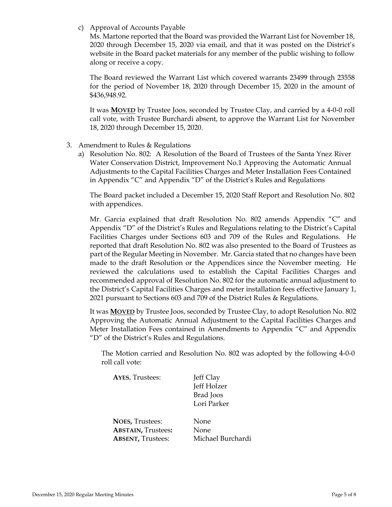c) Approval of Accounts Payable

Ms. Martone reported that the Board was provided the Warrant List for November 18, 2020 through December 15, 2020 via email, and that it was posted on the District's website in the Board packet materials for any member of the public wishing to follow along or receive a copy.

The Board reviewed the Warrant List which covered warrants 23499 through 23558 for the period of November 18, 2020 through December 15, 2020 in the amount of \$436,948.92.

It was **MOVED** by Trustee Joos, seconded by Trustee Clay, and carried by a 4-0-0 roll call vote, with Trustee Burchardi absent, to approve the Warrant List for November 18, 2020 through December 15, 2020.

- 3. Amendment to Rules & Regulations
	- a) Resolution No. 802: A Resolution of the Board of Trustees of the Santa Ynez River Water Conservation District, Improvement No.1 Approving the Automatic Annual Adjustments to the Capital Facilities Charges and Meter Installation Fees Contained in Appendix "C" and Appendix "D" of the District's Rules and Regulations

The Board packet included a December 15, 2020 Staff Report and Resolution No. 802 with appendices.

Mr. Garcia explained that draft Resolution No. 802 amends Appendix "C" and Appendix "D" of the District's Rules and Regulations relating to the District's Capital Facilities Charges under Sections 603 and 709 of the Rules and Regulations. He reported that draft Resolution No. 802 was also presented to the Board of Trustees as part of the Regular Meeting in November. Mr. Garcia stated that no changes have been made to the draft Resolution or the Appendices since the November meeting. He reviewed the calculations used to establish the Capital Facilities Charges and recommended approval of Resolution No. 802 for the automatic annual adjustment to the District's Capital Facilities Charges and meter installation fees effective January 1, 2021 pursuant to Sections 603 and 709 of the District Rules & Regulations.

It was **MOVED** by Trustee Joos, seconded by Trustee Clay, to adopt Resolution No. 802 Approving the Automatic Annual Adjustment to the Capital Facilities Charges and Meter Installation Fees contained in Amendments to Appendix "C" and Appendix "D" of the District's Rules and Regulations.

The Motion carried and Resolution No. 802 was adopted by the following 4-0-0 roll call vote:

| <b>AYES, Trustees:</b>    | Jeff Clay<br>Jeff Holzer<br><b>Brad</b> Joos<br>Lori Parker |
|---------------------------|-------------------------------------------------------------|
| <b>NOES, Trustees:</b>    | None                                                        |
| <b>ABSTAIN, Trustees:</b> | None                                                        |
| <b>ABSENT, Trustees:</b>  | Michael Burchardi                                           |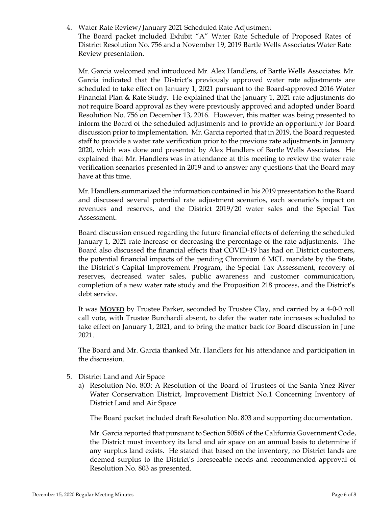4. Water Rate Review/January 2021 Scheduled Rate Adjustment

The Board packet included Exhibit "A" Water Rate Schedule of Proposed Rates of District Resolution No. 756 and a November 19, 2019 Bartle Wells Associates Water Rate Review presentation.

Mr. Garcia welcomed and introduced Mr. Alex Handlers, of Bartle Wells Associates. Mr. Garcia indicated that the District's previously approved water rate adjustments are scheduled to take effect on January 1, 2021 pursuant to the Board-approved 2016 Water Financial Plan & Rate Study. He explained that the January 1, 2021 rate adjustments do not require Board approval as they were previously approved and adopted under Board Resolution No. 756 on December 13, 2016. However, this matter was being presented to inform the Board of the scheduled adjustments and to provide an opportunity for Board discussion prior to implementation. Mr. Garcia reported that in 2019, the Board requested staff to provide a water rate verification prior to the previous rate adjustments in January 2020, which was done and presented by Alex Handlers of Bartle Wells Associates. He explained that Mr. Handlers was in attendance at this meeting to review the water rate verification scenarios presented in 2019 and to answer any questions that the Board may have at this time.

Mr. Handlers summarized the information contained in his 2019 presentation to the Board and discussed several potential rate adjustment scenarios, each scenario's impact on revenues and reserves, and the District 2019/20 water sales and the Special Tax Assessment.

Board discussion ensued regarding the future financial effects of deferring the scheduled January 1, 2021 rate increase or decreasing the percentage of the rate adjustments. The Board also discussed the financial effects that COVID-19 has had on District customers, the potential financial impacts of the pending Chromium 6 MCL mandate by the State, the District's Capital Improvement Program, the Special Tax Assessment, recovery of reserves, decreased water sales, public awareness and customer communication, completion of a new water rate study and the Proposition 218 process, and the District's debt service.

It was **MOVED** by Trustee Parker, seconded by Trustee Clay, and carried by a 4-0-0 roll call vote, with Trustee Burchardi absent, to defer the water rate increases scheduled to take effect on January 1, 2021, and to bring the matter back for Board discussion in June 2021.

The Board and Mr. Garcia thanked Mr. Handlers for his attendance and participation in the discussion.

- 5. District Land and Air Space
	- a) Resolution No. 803: A Resolution of the Board of Trustees of the Santa Ynez River Water Conservation District, Improvement District No.1 Concerning Inventory of District Land and Air Space

The Board packet included draft Resolution No. 803 and supporting documentation.

Mr. Garcia reported that pursuant to Section 50569 of the California Government Code, the District must inventory its land and air space on an annual basis to determine if any surplus land exists. He stated that based on the inventory, no District lands are deemed surplus to the District's foreseeable needs and recommended approval of Resolution No. 803 as presented.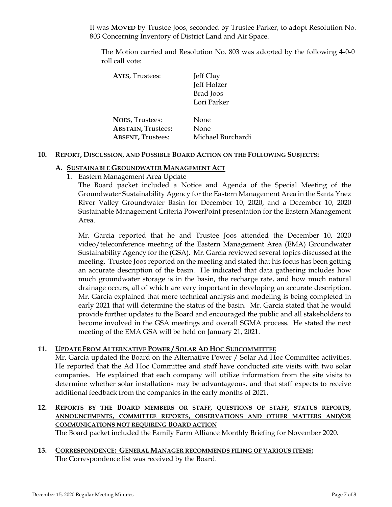It was **MOVED** by Trustee Joos, seconded by Trustee Parker, to adopt Resolution No. 803 Concerning Inventory of District Land and Air Space.

The Motion carried and Resolution No. 803 was adopted by the following 4-0-0 roll call vote:

| <b>AYES, Trustees:</b>    | Jeff Clay         |  |
|---------------------------|-------------------|--|
|                           | Jeff Holzer       |  |
|                           | Brad Joos         |  |
|                           | Lori Parker       |  |
|                           |                   |  |
| <b>NOES, Trustees:</b>    | None              |  |
| <b>ABSTAIN, Trustees:</b> | None              |  |
| <b>ABSENT, Trustees:</b>  | Michael Burchardi |  |

#### **10. REPORT, DISCUSSION, AND POSSIBLE BOARD ACTION ON THE FOLLOWING SUBJECTS:**

#### **A. SUSTAINABLE GROUNDWATER MANAGEMENT ACT**

1. Eastern Management Area Update

The Board packet included a Notice and Agenda of the Special Meeting of the Groundwater Sustainability Agency for the Eastern Management Area in the Santa Ynez River Valley Groundwater Basin for December 10, 2020, and a December 10, 2020 Sustainable Management Criteria PowerPoint presentation for the Eastern Management Area.

Mr. Garcia reported that he and Trustee Joos attended the December 10, 2020 video/teleconference meeting of the Eastern Management Area (EMA) Groundwater Sustainability Agency for the (GSA). Mr. Garcia reviewed several topics discussed at the meeting. Trustee Joos reported on the meeting and stated that his focus has been getting an accurate description of the basin. He indicated that data gathering includes how much groundwater storage is in the basin, the recharge rate, and how much natural drainage occurs, all of which are very important in developing an accurate description. Mr. Garcia explained that more technical analysis and modeling is being completed in early 2021 that will determine the status of the basin. Mr. Garcia stated that he would provide further updates to the Board and encouraged the public and all stakeholders to become involved in the GSA meetings and overall SGMA process. He stated the next meeting of the EMA GSA will be held on January 21, 2021.

### **11. UPDATE FROM ALTERNATIVE POWER / SOLAR AD HOC SUBCOMMITTEE**

Mr. Garcia updated the Board on the Alternative Power / Solar Ad Hoc Committee activities. He reported that the Ad Hoc Committee and staff have conducted site visits with two solar companies. He explained that each company will utilize information from the site visits to determine whether solar installations may be advantageous, and that staff expects to receive additional feedback from the companies in the early months of 2021.

### **12. REPORTS BY THE BOARD MEMBERS OR STAFF, QUESTIONS OF STAFF, STATUS REPORTS, ANNOUNCEMENTS, COMMITTEE REPORTS, OBSERVATIONS AND OTHER MATTERS AND/OR COMMUNICATIONS NOT REQUIRING BOARD ACTION** The Board packet included the Family Farm Alliance Monthly Briefing for November 2020.

**13. CORRESPONDENCE: GENERAL MANAGER RECOMMENDS FILING OF VARIOUS ITEMS:**  The Correspondence list was received by the Board.